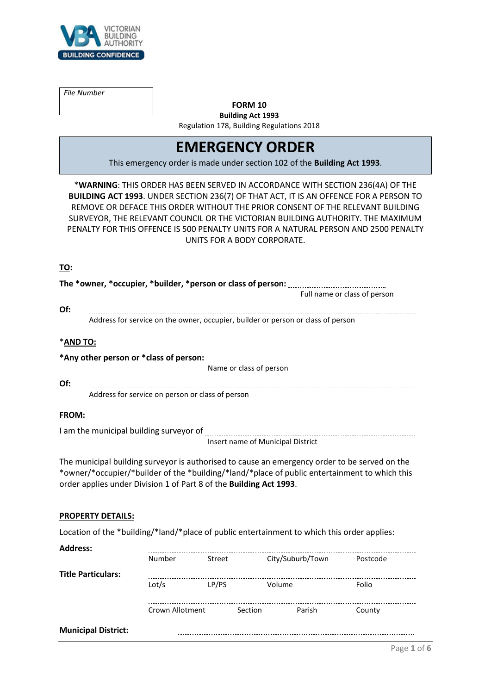

*File Number*

# **FORM 10**

**Building Act 1993** Regulation 178, Building Regulations 2018

# **EMERGENCY ORDER**

This emergency order is made under section 102 of the **Building Act 1993**.

\***WARNING**: THIS ORDER HAS BEEN SERVED IN ACCORDANCE WITH SECTION 236(4A) OF THE **BUILDING ACT 1993**. UNDER SECTION 236(7) OF THAT ACT, IT IS AN OFFENCE FOR A PERSON TO REMOVE OR DEFACE THIS ORDER WITHOUT THE PRIOR CONSENT OF THE RELEVANT BUILDING SURVEYOR, THE RELEVANT COUNCIL OR THE VICTORIAN BUILDING AUTHORITY. THE MAXIMUM PENALTY FOR THIS OFFENCE IS 500 PENALTY UNITS FOR A NATURAL PERSON AND 2500 PENALTY UNITS FOR A BODY CORPORATE.

Full name or class of person

**The \*owner, \*occupier, \*builder, \*person or class of person:** 

# **TO:**

| Of:                                                                                                                                                                                                                                                                  |                                                  |                         |                         |                                                                                  |             |
|----------------------------------------------------------------------------------------------------------------------------------------------------------------------------------------------------------------------------------------------------------------------|--------------------------------------------------|-------------------------|-------------------------|----------------------------------------------------------------------------------|-------------|
|                                                                                                                                                                                                                                                                      |                                                  |                         |                         | Address for service on the owner, occupier, builder or person or class of person |             |
| *AND TO:                                                                                                                                                                                                                                                             |                                                  |                         |                         |                                                                                  |             |
|                                                                                                                                                                                                                                                                      |                                                  |                         |                         |                                                                                  |             |
|                                                                                                                                                                                                                                                                      |                                                  |                         | Name or class of person |                                                                                  |             |
| Of:                                                                                                                                                                                                                                                                  | Address for service on person or class of person |                         |                         |                                                                                  |             |
|                                                                                                                                                                                                                                                                      |                                                  |                         |                         |                                                                                  |             |
| FROM:                                                                                                                                                                                                                                                                |                                                  |                         |                         |                                                                                  |             |
|                                                                                                                                                                                                                                                                      |                                                  |                         |                         | Insert name of Municipal District                                                |             |
| The municipal building surveyor is authorised to cause an emergency order to be served on the<br>*owner/*occupier/*builder of the *building/*land/*place of public entertainment to which this<br>order applies under Division 1 of Part 8 of the Building Act 1993. |                                                  |                         |                         |                                                                                  |             |
| <b>PROPERTY DETAILS:</b>                                                                                                                                                                                                                                             |                                                  |                         |                         |                                                                                  |             |
| Location of the *building/*land/*place of public entertainment to which this order applies:                                                                                                                                                                          |                                                  |                         |                         |                                                                                  |             |
| <b>Address:</b>                                                                                                                                                                                                                                                      |                                                  |                         |                         |                                                                                  |             |
|                                                                                                                                                                                                                                                                      | Number                                           |                         |                         | Street City/Suburb/Town                                                          | Postcode    |
| <b>Title Particulars:</b>                                                                                                                                                                                                                                            | Lot/s                                            | LP/PS                   | Volume                  |                                                                                  | Folio       |
|                                                                                                                                                                                                                                                                      |                                                  | Crown Allotment Section |                         | Parish                                                                           | County      |
| <b>Municipal District:</b>                                                                                                                                                                                                                                           |                                                  |                         |                         |                                                                                  |             |
|                                                                                                                                                                                                                                                                      |                                                  |                         |                         |                                                                                  | Page 1 of 6 |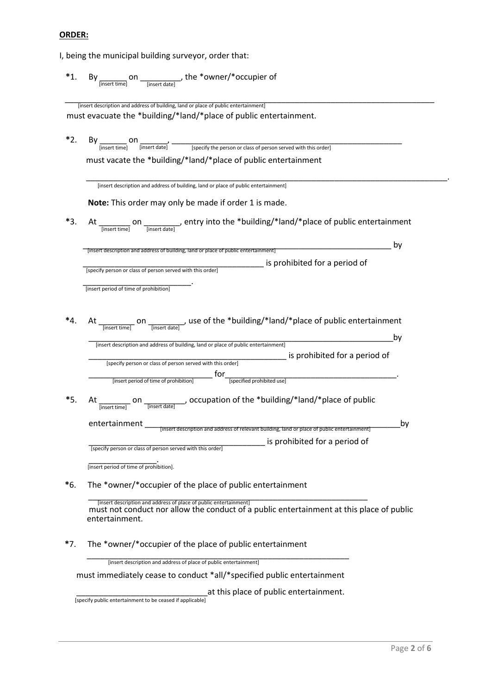## **ORDER:**

- I, being the municipal building surveyor, order that:
	- \*1. By  $\frac{1}{\text{[insert time]}}$  on  $\frac{1}{\text{[insert date]}}$ , the \*owner/\*occupier of

*insert description and address of building*, land or place of public entertainment]<br>
[insert description and address of building, land or place of public entertainment] must evacuate the \*building/\*land/\*place of public entertainment.

\*2. By  $\frac{1}{\left[\text{insert time}\right]}$  on  $\frac{1}{\left[\text{insert date}\right]'}$ must vacate the \*building/\*land/\*place of public entertainment [specify the person or class of person served with this order]

\_\_\_\_\_\_\_\_\_\_\_\_\_\_\_\_\_\_\_\_\_\_\_\_\_\_\_\_\_\_\_\_\_\_\_\_\_\_\_\_\_\_\_\_\_\_\_\_\_\_\_\_\_\_\_\_\_\_\_\_\_\_\_\_\_\_\_\_\_\_\_\_\_\_\_\_\_\_\_\_. [insert description and address of building, land or place of public entertainment]

**Note:** This order may only be made if order 1 is made.

\*3. At  $\frac{1}{\frac{[insert time]}{[insert time]}}$  on  $\frac{1}{\frac{[insert date]}{[insert date]}}$ , entry into the \*building/\*land/\*place of public entertainment

Tinsert description and address of building, land or place of public entertainment]<br>
Tinsert description and address of building, land or place of public entertainment]

is prohibited for a period of [specify person or class of person served with this order]

\_\_\_\_\_\_\_\_\_\_\_\_\_\_\_\_\_\_\_\_\_\_\_\_. [insert period of time of prohibition]

\*4. At <u>Insert time on a section</u> on a set of the \*building/\*land/\*place of public entertainment Latter the scription and address of building, land or place of public entertainment]<br>
Latter the scription and address of building, land or place of public entertainment]

is prohibited for a period of [specify person or class of person served with this order]

- $\frac{1}{\sqrt{1-\frac{1}{\sqrt{1-\frac{1}{\sqrt{1-\frac{1}{\sqrt{1-\frac{1}{\sqrt{1-\frac{1}{\sqrt{1-\frac{1}{\sqrt{1-\frac{1}{\sqrt{1-\frac{1}{\sqrt{1-\frac{1}{\sqrt{1-\frac{1}{\sqrt{1-\frac{1}{\sqrt{1-\frac{1}{\sqrt{1-\frac{1}{\sqrt{1-\frac{1}{\sqrt{1-\frac{1}{\sqrt{1-\frac{1}{\sqrt{1-\frac{1}{\sqrt{1-\frac{1}{\sqrt{1-\frac{1}{\sqrt{1-\frac{1}{\sqrt{1-\frac{1}{\sqrt{1-\frac{1}{\sqrt{1-\frac{1}{\sqrt{1-\frac{1$
- \*5. At  $\frac{1}{[insert time]}$  on  $\frac{1}{[insert date]}$ , occupation of the \*building/\*land/\*place of public entertainment \_\_\_\_\_\_\_\_\_\_\_\_\_\_\_\_\_\_\_\_\_\_\_\_\_\_\_\_\_\_\_\_\_\_\_\_\_\_\_\_\_\_\_\_\_\_\_\_\_\_\_\_\_\_\_\_\_\_by [insert description and address of relevant building, land or place of public entertainment]

*\_\_\_\_\_\_\_\_\_\_\_\_\_\_\_\_\_\_\_\_\_\_\_\_\_\_\_\_\_\_\_\_\_\_\_\_\_\_\_\_\_\_\_\_\_\_\_\_\_\_\_\_\_\_\_\_\_\_\_\_\_\_*

\_\_\_\_\_\_\_\_\_\_\_\_\_\_\_\_\_\_\_\_\_\_\_\_\_\_\_\_\_\_\_\_\_\_\_\_\_\_\_ is prohibited for a period of [specify person or class of person served with this order]

\_\_\_\_\_\_\_\_\_\_\_\_\_\_\_. [insert period of time of prohibition].

**\***6. The \*owner/\*occupier of the place of public entertainment

Tinsert description and address of place of public entertainment **and the conduct of a public entertainment at this place of public must not conduct nor allow the conduct of a public entertainment at this place of public** entertainment.

**\***7. The \*owner/\*occupier of the place of public entertainment

\_\_\_\_\_\_\_\_\_\_\_\_\_\_\_\_\_\_\_\_\_\_\_\_\_\_\_\_\_\_\_\_\_\_\_\_\_\_\_\_\_\_\_\_\_\_\_\_\_\_\_\_\_\_\_\_\_\_ [insert description and address of place of public entertainment]

must immediately cease to conduct \*all/\*specified public entertainment

at this place of public entertainment.

[specify public entertainment to be ceased if applicable]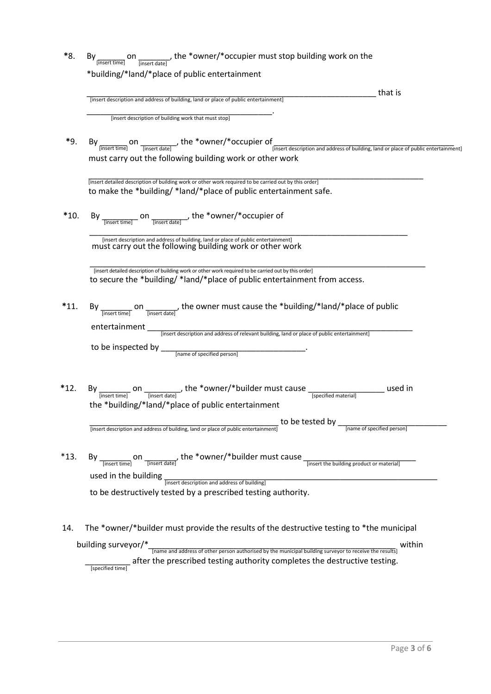| *8.    | on $\frac{1}{[insert date]}$ , the *owner/*occupier must stop building work on the<br>Bv<br>(insert time)                                             |         |
|--------|-------------------------------------------------------------------------------------------------------------------------------------------------------|---------|
|        | *building/*land/*place of public entertainment                                                                                                        |         |
|        |                                                                                                                                                       | that is |
|        | [insert description and address of building, land or place of public entertainment]                                                                   |         |
|        | [insert description of building work that must stop]                                                                                                  |         |
| *9.    | By <sub>[insert time]</sub> on __________, the *owner/*occupier of [insert description and address of building, land or place of public entertainment |         |
|        | must carry out the following building work or other work                                                                                              |         |
|        | [insert detailed description of building work or other work required to be carried out by this order]                                                 |         |
|        | to make the *building/ *land/*place of public entertainment safe.                                                                                     |         |
| $*10.$ | By $\frac{1}{\frac{1}{\text{insert time}}$ on $\frac{1}{\text{insert date}}$ , the *owner/*occupier of                                                |         |
|        | [insert description and address of building, land or place of public entertainment]<br>must carry out the following building work or other work       |         |
|        |                                                                                                                                                       |         |

to secure the \*building/ \*land/\*place of public entertainment from access. [insert detailed description of building work or other work required to be carried out by this order]

\*11. By  $\frac{1}{[insert time]}$  on  $\frac{1}{[insert date]}$ , the owner must cause the \*building/\*land/\*place of public

entertainment \_\_\_\_\_\_\_\_\_\_\_\_\_\_\_\_\_\_\_\_\_\_\_\_\_\_\_\_\_\_\_\_\_\_\_\_\_\_\_\_\_\_\_\_\_\_\_\_\_\_\_\_\_\_\_\_\_\_\_ [insert description and address of relevant building, land or place of public entertainment]

to be inspected by  $\frac{1}{\text{name of specified person}}$ 

| *12. | Bv            | on            | , the *owner/*builder must cause                   |                             | used in |
|------|---------------|---------------|----------------------------------------------------|-----------------------------|---------|
|      | linsert timel | linsert datel |                                                    | <b>Ispecified materiall</b> |         |
|      |               |               | the *building/*land/*place of public entertainment |                             |         |

\_\_\_\_\_\_\_\_\_\_\_\_\_\_\_\_\_\_\_\_\_\_\_\_\_\_\_\_\_\_\_\_\_\_\_\_\_\_\_\_\_\_ to be tested by \_\_\_\_\_\_\_\_\_\_\_\_\_\_\_\_\_\_\_\_\_\_\_\_ [insert description and address of building, land or place of public entertainment] [name of specified person]

- \*13. By <sub>*insert time*] on <sub>*insert date*], the \*owner/\*builder must cause *insert the building product or material*</sub></sub> used in the building  $\frac{1}{\text{insert description and address of building}}$ to be destructively tested by a prescribed testing authority.
- 14. The \*owner/\*builder must provide the results of the destructive testing to \*the municipal building surveyor/\*<br>
Thame and address of other person authorised by the municipal building surveyor to receive the results]<br>
Within  $\frac{1}{\text{[specific time]}}$  after the prescribed testing authority completes the destructive testing.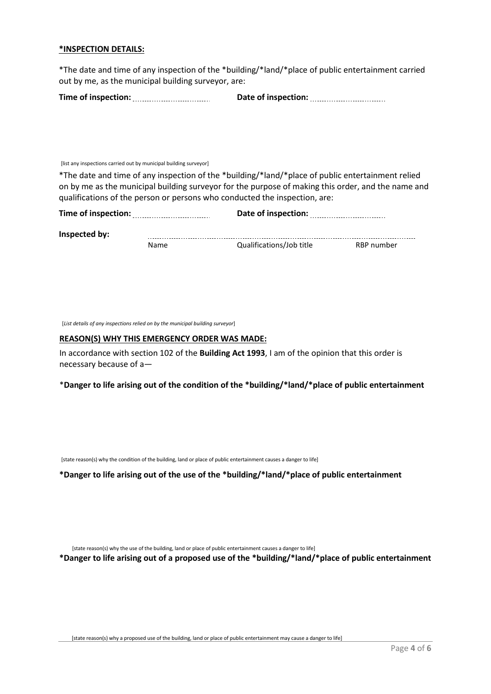## **\*INSPECTION DETAILS:**

\*The date and time of any inspection of the \*building/\*land/\*place of public entertainment carried out by me, as the municipal building surveyor, are:

| Time of inspection: | Date of inspection: |
|---------------------|---------------------|
|                     |                     |
|                     |                     |

#### [list any inspections carried out by municipal building surveyor]

\*The date and time of any inspection of the \*building/\*land/\*place of public entertainment relied on by me as the municipal building surveyor for the purpose of making this order, and the name and qualifications of the person or persons who conducted the inspection, are:

| Time of inspection: |      | Date of inspection:      |            |  |
|---------------------|------|--------------------------|------------|--|
| Inspected by:       |      |                          |            |  |
|                     | Name | Qualifications/Job title | RBP number |  |

[*List details of any inspections relied on by the municipal building surveyor*]

#### **REASON(S) WHY THIS EMERGENCY ORDER WAS MADE:**

In accordance with section 102 of the **Building Act 1993**, I am of the opinion that this order is necessary because of a—

\***Danger to life arising out of the condition of the \*building/\*land/\*place of public entertainment**

[state reason(s) why the condition of the building, land or place of public entertainment causes a danger to life]

**\*Danger to life arising out of the use of the \*building/\*land/\*place of public entertainment**

[state reason(s) why the use of the building, land or place of public entertainment causes a danger to life]

**\*Danger to life arising out of a proposed use of the \*building/\*land/\*place of public entertainment**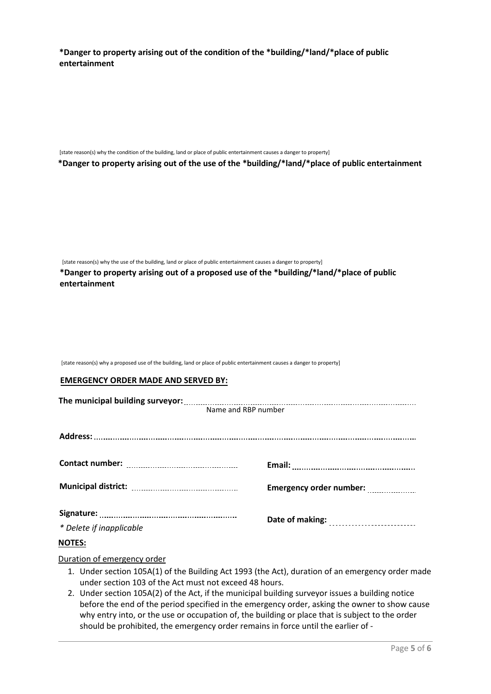**\*Danger to property arising out of the condition of the \*building/\*land/\*place of public entertainment**

[state reason(s) why the condition of the building, land or place of public entertainment causes a danger to property]

**\*Danger to property arising out of the use of the \*building/\*land/\*place of public entertainment**

[state reason(s) why the use of the building, land or place of public entertainment causes a danger to property]

**\*Danger to property arising out of a proposed use of the \*building/\*land/\*place of public entertainment**

[state reason(s) why a proposed use of the building, land or place of public entertainment causes a danger to property]

#### **EMERGENCY ORDER MADE AND SERVED BY:**

| Name and RBP number      |                         |
|--------------------------|-------------------------|
|                          |                         |
|                          |                         |
|                          | Emergency order number: |
| * Delete if inapplicable |                         |

#### **NOTES:**

Duration of emergency order

- 1. Under section 105A(1) of the Building Act 1993 (the Act), duration of an emergency order made under section 103 of the Act must not exceed 48 hours.
- 2. Under section 105A(2) of the Act, if the municipal building surveyor issues a building notice before the end of the period specified in the emergency order, asking the owner to show cause why entry into, or the use or occupation of, the building or place that is subject to the order should be prohibited, the emergency order remains in force until the earlier of -